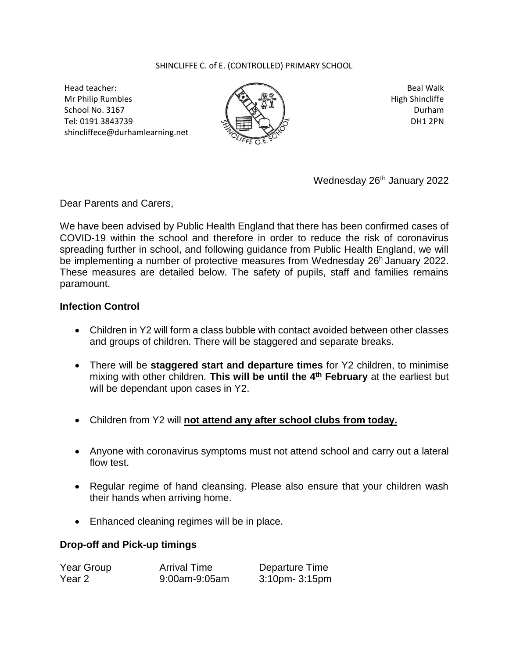## SHINCLIFFE C. of E. (CONTROLLED) PRIMARY SCHOOL

Head teacher: Mr Philip Rumbles School No. 3167 Tel: 0191 3843739 shincliffece@durhamlearning.net



Beal Walk High Shincliffe Durham DH1 2PN

Wednesday 26<sup>th</sup> January 2022

Dear Parents and Carers,

We have been advised by Public Health England that there has been confirmed cases of COVID-19 within the school and therefore in order to reduce the risk of coronavirus spreading further in school, and following guidance from Public Health England, we will be implementing a number of protective measures from Wednesday 26<sup>h</sup> January 2022. These measures are detailed below. The safety of pupils, staff and families remains paramount.

## **Infection Control**

- Children in Y2 will form a class bubble with contact avoided between other classes and groups of children. There will be staggered and separate breaks.
- There will be **staggered start and departure times** for Y2 children, to minimise mixing with other children. This will be until the 4<sup>th</sup> February at the earliest but will be dependant upon cases in Y2.
- Children from Y2 will **not attend any after school clubs from today.**
- Anyone with coronavirus symptoms must not attend school and carry out a lateral flow test.
- Regular regime of hand cleansing. Please also ensure that your children wash their hands when arriving home.
- Enhanced cleaning regimes will be in place.

## **Drop-off and Pick-up timings**

| Year Group | <b>Arrival Time</b> | Departure Time       |
|------------|---------------------|----------------------|
| Year 2     | 9:00am-9:05am       | $3:10$ pm- $3:15$ pm |